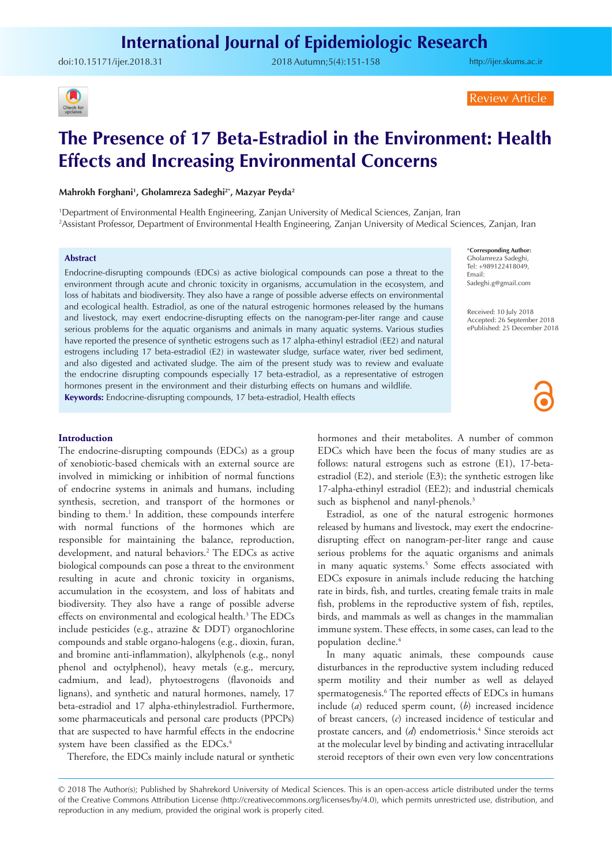doi:[10.15171/ijer.2018.31](https://doi.org/10.15171/ijer.2018.31 ) 2018 Autumn;5(4):151-158

<http://ijer.skums.ac.ir>



Review Article

# **The Presence of 17 Beta-Estradiol in the Environment: Health Effects and Increasing Environmental Concerns**

## **Mahrokh Forghani1 , Gholamreza Sadeghi2\*, Mazyar Peyda2**

1 Department of Environmental Health Engineering, Zanjan University of Medical Sciences, Zanjan, Iran 2 Assistant Professor, Department of Environmental Health Engineering, Zanjan University of Medical Sciences, Zanjan, Iran

## **Abstract**

Endocrine-disrupting compounds (EDCs) as active biological compounds can pose a threat to the environment through acute and chronic toxicity in organisms, accumulation in the ecosystem, and loss of habitats and biodiversity. They also have a range of possible adverse effects on environmental and ecological health. Estradiol, as one of the natural estrogenic hormones released by the humans and livestock, may exert endocrine-disrupting effects on the nanogram-per-liter range and cause serious problems for the aquatic organisms and animals in many aquatic systems. Various studies have reported the presence of synthetic estrogens such as 17 alpha-ethinyl estradiol (EE2) and natural estrogens including 17 beta-estradiol (E2) in wastewater sludge, surface water, river bed sediment, and also digested and activated sludge. The aim of the present study was to review and evaluate the endocrine disrupting compounds especially 17 beta-estradiol, as a representative of estrogen hormones present in the environment and their disturbing effects on humans and wildlife.

**Keywords:** Endocrine-disrupting compounds, 17 beta-estradiol, Health effects

#### **Introduction**

The endocrine-disrupting compounds (EDCs) as a group of xenobiotic-based chemicals with an external source are involved in mimicking or inhibition of normal functions of endocrine systems in animals and humans, including synthesis, secretion, and transport of the hormones or binding to them.<sup>1</sup> In addition, these compounds interfere with normal functions of the hormones which are responsible for maintaining the balance, reproduction, development, and natural behaviors.2 The EDCs as active biological compounds can pose a threat to the environment resulting in acute and chronic toxicity in organisms, accumulation in the ecosystem, and loss of habitats and biodiversity. They also have a range of possible adverse effects on environmental and ecological health.<sup>3</sup> The EDCs include pesticides (e.g., atrazine & DDT) organochlorine compounds and stable organo-halogens (e.g., dioxin, furan, and bromine anti-inflammation), alkylphenols (e.g., nonyl phenol and octylphenol), heavy metals (e.g., mercury, cadmium, and lead), phytoestrogens (flavonoids and lignans), and synthetic and natural hormones, namely, 17 beta-estradiol and 17 alpha-ethinylestradiol. Furthermore, some pharmaceuticals and personal care products (PPCPs) that are suspected to have harmful effects in the endocrine system have been classified as the EDCs.4

Therefore, the EDCs mainly include natural or synthetic

\***Corresponding Author:** Gholamreza Sadeghi, Tel: +989122418049, Email: Sadeghi.g@gmail.com

Received: 10 July 2018 Accepted: 26 September 2018 ePublished: 25 December 2018

hormones and their metabolites. A number of common EDCs which have been the focus of many studies are as follows: natural estrogens such as estrone (E1), 17-betaestradiol (E2), and steriole (E3); the synthetic estrogen like 17-alpha-ethinyl estradiol (EE2); and industrial chemicals such as bisphenol and nanyl-phenols.<sup>3</sup>

Estradiol, as one of the natural estrogenic hormones released by humans and livestock, may exert the endocrinedisrupting effect on nanogram-per-liter range and cause serious problems for the aquatic organisms and animals in many aquatic systems.<sup>5</sup> Some effects associated with EDCs exposure in animals include reducing the hatching rate in birds, fish, and turtles, creating female traits in male fish, problems in the reproductive system of fish, reptiles, birds, and mammals as well as changes in the mammalian immune system. These effects, in some cases, can lead to the population decline.<sup>4</sup>

In many aquatic animals, these compounds cause disturbances in the reproductive system including reduced sperm motility and their number as well as delayed spermatogenesis.<sup>6</sup> The reported effects of EDCs in humans include (*a*) reduced sperm count, (*b*) increased incidence of breast cancers, (*c*) increased incidence of testicular and prostate cancers, and (*d*) endometriosis.<sup>4</sup> Since steroids act at the molecular level by binding and activating intracellular steroid receptors of their own even very low concentrations

<sup>© 2018</sup> The Author(s); Published by Shahrekord University of Medical Sciences. This is an open-access article distributed under the terms of the Creative Commons Attribution License (http://creativecommons.org/licenses/by/4.0), which permits unrestricted use, distribution, and reproduction in any medium, provided the original work is properly cited.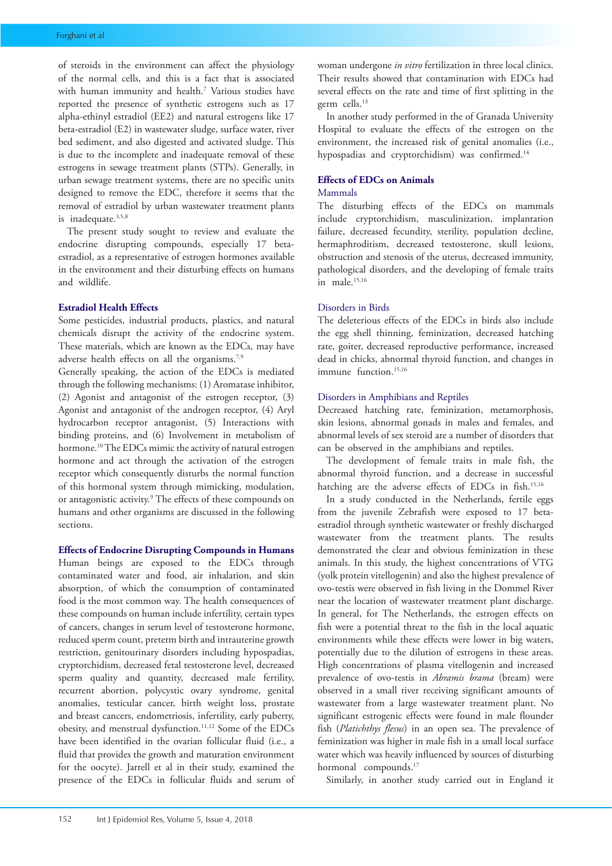of steroids in the environment can affect the physiology of the normal cells, and this is a fact that is associated with human immunity and health.7 Various studies have reported the presence of synthetic estrogens such as 17 alpha-ethinyl estradiol (EE2) and natural estrogens like 17 beta-estradiol (E2) in wastewater sludge, surface water, river bed sediment, and also digested and activated sludge. This is due to the incomplete and inadequate removal of these estrogens in sewage treatment plants (STPs). Generally, in urban sewage treatment systems, there are no specific units designed to remove the EDC, therefore it seems that the removal of estradiol by urban wastewater treatment plants is inadequate.<sup>3,5,8</sup>

The present study sought to review and evaluate the endocrine disrupting compounds, especially 17 betaestradiol, as a representative of estrogen hormones available in the environment and their disturbing effects on humans and wildlife.

## **Estradiol Health Effects**

Some pesticides, industrial products, plastics, and natural chemicals disrupt the activity of the endocrine system. These materials, which are known as the EDCs, may have adverse health effects on all the organisms.7,9

Generally speaking, the action of the EDCs is mediated through the following mechanisms: (1) Aromatase inhibitor, (2) Agonist and antagonist of the estrogen receptor, (3) Agonist and antagonist of the androgen receptor, (4) Aryl hydrocarbon receptor antagonist, (5) Interactions with binding proteins, and (6) Involvement in metabolism of hormone.<sup>10</sup> The EDCs mimic the activity of natural estrogen hormone and act through the activation of the estrogen receptor which consequently disturbs the normal function of this hormonal system through mimicking, modulation, or antagonistic activity.<sup>9</sup> The effects of these compounds on humans and other organisms are discussed in the following sections.

## **Effects of Endocrine Disrupting Compounds in Humans**

Human beings are exposed to the EDCs through contaminated water and food, air inhalation, and skin absorption, of which the consumption of contaminated food is the most common way. The health consequences of these compounds on human include infertility, certain types of cancers, changes in serum level of testosterone hormone, reduced sperm count, preterm birth and intrauterine growth restriction, genitourinary disorders including hypospadias, cryptorchidism, decreased fetal testosterone level, decreased sperm quality and quantity, decreased male fertility, recurrent abortion, polycystic ovary syndrome, genital anomalies, testicular cancer, birth weight loss, prostate and breast cancers, endometriosis, infertility, early puberty, obesity, and menstrual dysfunction.11,12 Some of the EDCs have been identified in the ovarian follicular fluid (i.e., a fluid that provides the growth and maturation environment for the oocyte). Jarrell et al in their study, examined the presence of the EDCs in follicular fluids and serum of woman undergone *in vitro* fertilization in three local clinics. Their results showed that contamination with EDCs had several effects on the rate and time of first splitting in the germ cells.13

In another study performed in the of Granada University Hospital to evaluate the effects of the estrogen on the environment, the increased risk of genital anomalies (i.e., hypospadias and cryptorchidism) was confirmed.<sup>14</sup>

# **Effects of EDCs on Animals**

## Mammals

The disturbing effects of the EDCs on mammals include cryptorchidism, masculinization, implantation failure, decreased fecundity, sterility, population decline, hermaphroditism, decreased testosterone, skull lesions, obstruction and stenosis of the uterus, decreased immunity, pathological disorders, and the developing of female traits in male.15,16

### Disorders in Birds

The deleterious effects of the EDCs in birds also include the egg shell thinning, feminization, decreased hatching rate, goiter, decreased reproductive performance, increased dead in chicks, abnormal thyroid function, and changes in immune function.<sup>15,16</sup>

## Disorders in Amphibians and Reptiles

Decreased hatching rate, feminization, metamorphosis, skin lesions, abnormal gonads in males and females, and abnormal levels of sex steroid are a number of disorders that can be observed in the amphibians and reptiles.

The development of female traits in male fish, the abnormal thyroid function, and a decrease in successful hatching are the adverse effects of EDCs in fish.<sup>15,16</sup>

In a study conducted in the Netherlands, fertile eggs from the juvenile Zebrafish were exposed to 17 betaestradiol through synthetic wastewater or freshly discharged wastewater from the treatment plants. The results demonstrated the clear and obvious feminization in these animals. In this study, the highest concentrations of VTG (yolk protein vitellogenin) and also the highest prevalence of ovo-testis were observed in fish living in the Dommel River near the location of wastewater treatment plant discharge. In general, for The Netherlands, the estrogen effects on fish were a potential threat to the fish in the local aquatic environments while these effects were lower in big waters, potentially due to the dilution of estrogens in these areas. High concentrations of plasma vitellogenin and increased prevalence of ovo-testis in *Abramis brama* (bream) were observed in a small river receiving significant amounts of wastewater from a large wastewater treatment plant. No significant estrogenic effects were found in male flounder fish (*Platichthys flesus*) in an open sea. The prevalence of feminization was higher in male fish in a small local surface water which was heavily influenced by sources of disturbing hormonal compounds.<sup>17</sup>

Similarly, in another study carried out in England it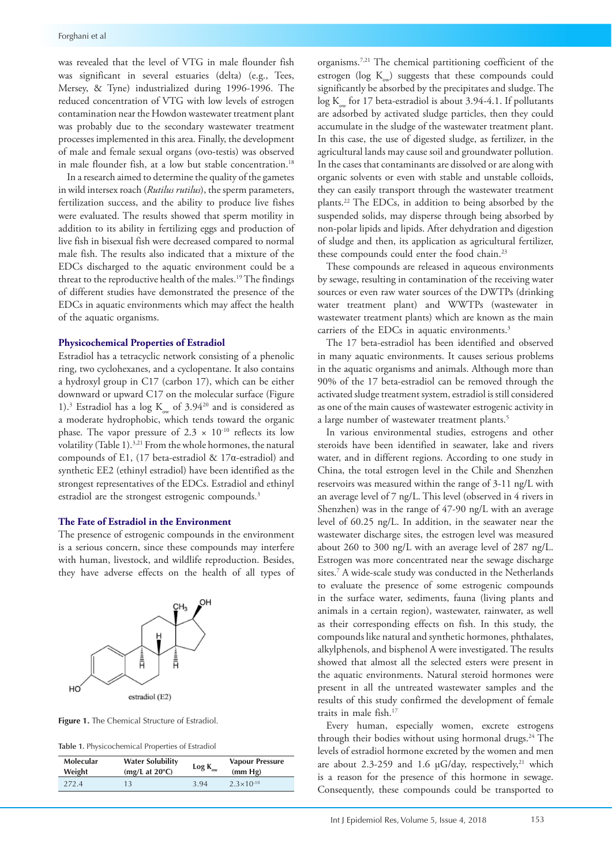was revealed that the level of VTG in male flounder fish was significant in several estuaries (delta) (e.g., Tees, Mersey, & Tyne) industrialized during 1996-1996. The reduced concentration of VTG with low levels of estrogen contamination near the Howdon wastewater treatment plant was probably due to the secondary wastewater treatment processes implemented in this area. Finally, the development of male and female sexual organs (ovo-testis) was observed in male flounder fish, at a low but stable concentration.<sup>18</sup>

In a research aimed to determine the quality of the gametes in wild intersex roach (*Rutilus rutilus*), the sperm parameters, fertilization success, and the ability to produce live fishes were evaluated. The results showed that sperm motility in addition to its ability in fertilizing eggs and production of live fish in bisexual fish were decreased compared to normal male fish. The results also indicated that a mixture of the EDCs discharged to the aquatic environment could be a threat to the reproductive health of the males.<sup>19</sup> The findings of different studies have demonstrated the presence of the EDCs in aquatic environments which may affect the health of the aquatic organisms.

## **Physicochemical Properties of Estradiol**

Estradiol has a tetracyclic network consisting of a phenolic ring, two cyclohexanes, and a cyclopentane. It also contains a hydroxyl group in C17 (carbon 17), which can be either downward or upward C17 on the molecular surface (Figure 1).<sup>3</sup> Estradiol has a log  $K_{ow}$  of 3.94<sup>20</sup> and is considered as a moderate hydrophobic, which tends toward the organic phase. The vapor pressure of 2.3  $\times$  10<sup>-10</sup> reflects its low volatility (Table 1).3,21 From the whole hormones, the natural compounds of E1, (17 beta-estradiol & 17α-estradiol) and synthetic EE2 (ethinyl estradiol) have been identified as the strongest representatives of the EDCs. Estradiol and ethinyl estradiol are the strongest estrogenic compounds.<sup>3</sup>

### **The Fate of Estradiol in the Environment**

The presence of estrogenic compounds in the environment is a serious concern, since these compounds may interfere with human, livestock, and wildlife reproduction. Besides, they have adverse effects on the health of all types of



**Figure 1.** The Chemical Structure of Estradiol.

| Molecular | <b>Water Solubility</b>  |     | <b>Vapour Pressure</b> |
|-----------|--------------------------|-----|------------------------|
| Weight    | (mg/L at $20^{\circ}$ C) |     | (mm Hg)                |
| 2724      | 13                       | 394 | $2.3 \times 10^{-10}$  |

organisms.7,21 The chemical partitioning coefficient of the estrogen ( $log K$ <sub>ow</sub>) suggests that these compounds could significantly be absorbed by the precipitates and sludge. The  $log K$  for 17 beta-estradiol is about 3.94-4.1. If pollutants are adsorbed by activated sludge particles, then they could accumulate in the sludge of the wastewater treatment plant. In this case, the use of digested sludge, as fertilizer, in the agricultural lands may cause soil and groundwater pollution. In the cases that contaminants are dissolved or are along with organic solvents or even with stable and unstable colloids, they can easily transport through the wastewater treatment plants.22 The EDCs, in addition to being absorbed by the suspended solids, may disperse through being absorbed by non-polar lipids and lipids. After dehydration and digestion of sludge and then, its application as agricultural fertilizer, these compounds could enter the food chain.<sup>23</sup>

These compounds are released in aqueous environments by sewage, resulting in contamination of the receiving water sources or even raw water sources of the DWTPs (drinking water treatment plant) and WWTPs (wastewater in wastewater treatment plants) which are known as the main carriers of the EDCs in aquatic environments.<sup>3</sup>

The 17 beta-estradiol has been identified and observed in many aquatic environments. It causes serious problems in the aquatic organisms and animals. Although more than 90% of the 17 beta-estradiol can be removed through the activated sludge treatment system, estradiol is still considered as one of the main causes of wastewater estrogenic activity in a large number of wastewater treatment plants.<sup>5</sup>

In various environmental studies, estrogens and other steroids have been identified in seawater, lake and rivers water, and in different regions. According to one study in China, the total estrogen level in the Chile and Shenzhen reservoirs was measured within the range of 3-11 ng/L with an average level of 7 ng/L. This level (observed in 4 rivers in Shenzhen) was in the range of 47-90 ng/L with an average level of 60.25 ng/L. In addition, in the seawater near the wastewater discharge sites, the estrogen level was measured about 260 to 300 ng/L with an average level of 287 ng/L. Estrogen was more concentrated near the sewage discharge sites.7 A wide-scale study was conducted in the Netherlands to evaluate the presence of some estrogenic compounds in the surface water, sediments, fauna (living plants and animals in a certain region), wastewater, rainwater, as well as their corresponding effects on fish. In this study, the compounds like natural and synthetic hormones, phthalates, alkylphenols, and bisphenol A were investigated. The results showed that almost all the selected esters were present in the aquatic environments. Natural steroid hormones were present in all the untreated wastewater samples and the results of this study confirmed the development of female traits in male fish.17

Every human, especially women, excrete estrogens through their bodies without using hormonal drugs.<sup>24</sup> The levels of estradiol hormone excreted by the women and men are about 2.3-259 and 1.6  $\mu$ G/day, respectively,<sup>21</sup> which is a reason for the presence of this hormone in sewage. Consequently, these compounds could be transported to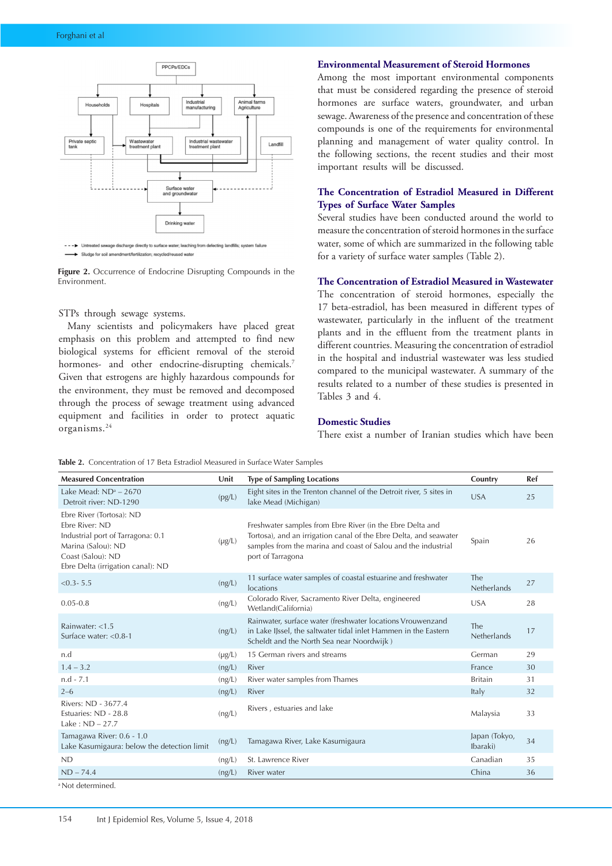



**Figure 2.** Occurrence of Endocrine Disrupting Compounds in the Environment.

## STPs through sewage systems.

Many scientists and policymakers have placed great emphasis on this problem and attempted to find new biological systems for efficient removal of the steroid hormones- and other endocrine-disrupting chemicals.7 Given that estrogens are highly hazardous compounds for the environment, they must be removed and decomposed through the process of sewage treatment using advanced equipment and facilities in order to protect aquatic organisms.24

# **Environmental Measurement of Steroid Hormones**

Among the most important environmental components that must be considered regarding the presence of steroid hormones are surface waters, groundwater, and urban sewage. Awareness of the presence and concentration of these compounds is one of the requirements for environmental planning and management of water quality control. In the following sections, the recent studies and their most important results will be discussed.

# **The Concentration of Estradiol Measured in Different Types of Surface Water Samples**

Several studies have been conducted around the world to measure the concentration of steroid hormones in the surface water, some of which are summarized in the following table for a variety of surface water samples (Table 2).

# **The Concentration of Estradiol Measured in Wastewater**

The concentration of steroid hormones, especially the 17 beta-estradiol, has been measured in different types of wastewater, particularly in the influent of the treatment plants and in the effluent from the treatment plants in different countries. Measuring the concentration of estradiol in the hospital and industrial wastewater was less studied compared to the municipal wastewater. A summary of the results related to a number of these studies is presented in Tables 3 and 4.

# **Domestic Studies**

There exist a number of Iranian studies which have been

**Table 2.** Concentration of 17 Beta Estradiol Measured in Surface Water Samples

| <b>Measured Concentration</b>                                                                                                                                   | Unit        | <b>Type of Sampling Locations</b>                                                                                                                                                                                    | Country                   | Ref |
|-----------------------------------------------------------------------------------------------------------------------------------------------------------------|-------------|----------------------------------------------------------------------------------------------------------------------------------------------------------------------------------------------------------------------|---------------------------|-----|
| Lake Mead: $ND^a - 2670$<br>Detroit river: ND-1290                                                                                                              | (pg/L)      | Eight sites in the Trenton channel of the Detroit river, 5 sites in<br>lake Mead (Michigan)                                                                                                                          | <b>USA</b>                | 25  |
| Ebre River (Tortosa): ND<br>Ebre River: ND<br>Industrial port of Tarragona: 0.1<br>Marina (Salou): ND<br>Coast (Salou): ND<br>Ebre Delta (irrigation canal): ND | $(\mu g/L)$ | Freshwater samples from Ebre River (in the Ebre Delta and<br>Tortosa), and an irrigation canal of the Ebre Delta, and seawater<br>samples from the marina and coast of Salou and the industrial<br>port of Tarragona | Spain                     | 26  |
| $< 0.3 - 5.5$                                                                                                                                                   | (ng/L)      | 11 surface water samples of coastal estuarine and freshwater<br>locations                                                                                                                                            | <b>The</b><br>Netherlands | 27  |
| $0.05 - 0.8$                                                                                                                                                    | (ng/L)      | Colorado River, Sacramento River Delta, engineered<br>Wetland(California)                                                                                                                                            | <b>USA</b>                | 28  |
| Rainwater: <1.5<br>Surface water: < 0.8-1                                                                                                                       | (ng/L)      | Rainwater, surface water (freshwater locations Vrouwenzand<br>in Lake IJssel, the saltwater tidal inlet Hammen in the Eastern<br>Scheldt and the North Sea near Noordwijk)                                           | <b>The</b><br>Netherlands | 17  |
| n.d                                                                                                                                                             | $(\mu g/L)$ | 15 German rivers and streams                                                                                                                                                                                         | German                    | 29  |
| $1.4 - 3.2$                                                                                                                                                     | (ng/L)      | River                                                                                                                                                                                                                | France                    | 30  |
| $n.d - 7.1$                                                                                                                                                     | (ng/L)      | River water samples from Thames                                                                                                                                                                                      | <b>Britain</b>            | 31  |
| $2 - 6$                                                                                                                                                         | (ng/L)      | River                                                                                                                                                                                                                | Italy                     | 32  |
| Rivers: ND - 3677.4<br>Estuaries: ND - 28.8<br>Lake: $ND - 27.7$                                                                                                | (ng/L)      | Rivers, estuaries and lake                                                                                                                                                                                           | Malaysia                  | 33  |
| Tamagawa River: 0.6 - 1.0<br>Lake Kasumigaura: below the detection limit                                                                                        | (ng/L)      | Tamagawa River, Lake Kasumigaura                                                                                                                                                                                     | Japan (Tokyo,<br>Ibaraki) | 34  |
| <b>ND</b>                                                                                                                                                       | (ng/L)      | St. Lawrence River                                                                                                                                                                                                   | Canadian                  | 35  |
| $ND - 74.4$                                                                                                                                                     | (ng/L)      | River water                                                                                                                                                                                                          | China                     | 36  |
| <sup>a</sup> Not determined                                                                                                                                     |             |                                                                                                                                                                                                                      |                           |     |

a Not determined.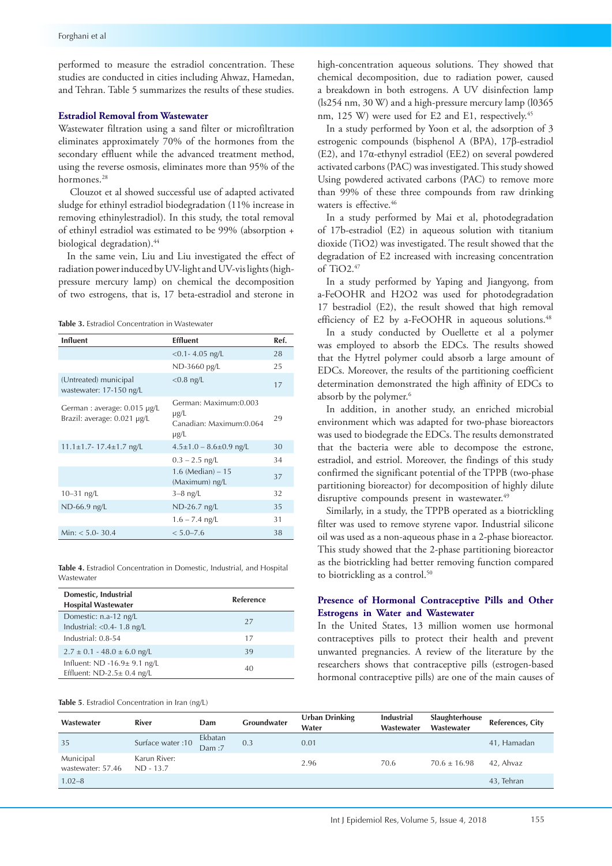performed to measure the estradiol concentration. These studies are conducted in cities including Ahwaz, Hamedan, and Tehran. Table 5 summarizes the results of these studies.

## **Estradiol Removal from Wastewater**

Wastewater filtration using a sand filter or microfiltration eliminates approximately 70% of the hormones from the secondary effluent while the advanced treatment method, using the reverse osmosis, eliminates more than 95% of the hormones.<sup>28</sup>

 Clouzot et al showed successful use of adapted activated sludge for ethinyl estradiol biodegradation (11% increase in removing ethinylestradiol). In this study, the total removal of ethinyl estradiol was estimated to be 99% (absorption + biological degradation).<sup>44</sup>

In the same vein, Liu and Liu investigated the effect of radiation power induced by UV-light and UV-vis lights (highpressure mercury lamp) on chemical the decomposition of two estrogens, that is, 17 beta-estradiol and sterone in

**Table 3.** Estradiol Concentration in Wastewater

| <b>Influent</b>                                            | <b>Effluent</b>                                                              | Ref. |
|------------------------------------------------------------|------------------------------------------------------------------------------|------|
|                                                            | $< 0.1 - 4.05$ ng/L                                                          | 28   |
|                                                            | ND-3660 pg/L                                                                 | 25   |
| (Untreated) municipal<br>wastewater: 17-150 ng/L           | $< 0.8$ ng/L                                                                 | 17   |
| German: average: 0.015 µg/L<br>Brazil: average: 0.021 µg/L | German: Maximum: 0.003<br>$\mu$ g/L<br>Canadian: Maximum: 0.064<br>$\mu$ g/L | 29   |
| $11.1 \pm 1.7 - 17.4 \pm 1.7$ ng/L                         | $4.5 \pm 1.0 - 8.6 \pm 0.9$ ng/L                                             | 30   |
|                                                            | $0.3 - 2.5$ ng/L                                                             | 34   |
|                                                            | $1.6$ (Median) $-15$<br>(Maximum) ng/L                                       | 37   |
| $10 - 31$ ng/L                                             | $3-8$ ng/L                                                                   | 32   |
| ND-66.9 ng/L                                               | $ND-26.7$ ng/L                                                               | 35   |
|                                                            | $1.6 - 7.4$ ng/L                                                             | 31   |
| Min: $<$ 5.0- 30.4                                         | $< 5.0 - 7.6$                                                                | 38   |

**Table 4.** Estradiol Concentration in Domestic, Industrial, and Hospital Wastewater

| Domestic, Industrial<br><b>Hospital Wastewater</b>                   | <b>Reference</b> |
|----------------------------------------------------------------------|------------------|
| Domestic: n.a-12 ng/L<br>Industrial: $<$ 0.4 - 1.8 ng/L              | 27               |
| Industrial: 0.8-54                                                   | 17               |
| $2.7 \pm 0.1 - 48.0 \pm 6.0$ ng/L                                    | 39               |
| Influent: $ND -16.9 \pm 9.1$ ng/L<br>Effluent: $ND-2.5 \pm 0.4$ ng/L | 40               |

**Table 5**. Estradiol Concentration in Iran (ng/L)

high-concentration aqueous solutions. They showed that chemical decomposition, due to radiation power, caused a breakdown in both estrogens. A UV disinfection lamp (ls254 nm, 30 W) and a high-pressure mercury lamp (l0365 nm, 125 W) were used for E2 and E1, respectively.<sup>45</sup>

In a study performed by Yoon et al, the adsorption of 3 estrogenic compounds (bisphenol A (BPA), 17β-estradiol (E2), and 17α-ethynyl estradiol (EE2) on several powdered activated carbons (PAC) was investigated. This study showed Using powdered activated carbons (PAC) to remove more than 99% of these three compounds from raw drinking waters is effective.<sup>46</sup>

In a study performed by Mai et al, photodegradation of 17b-estradiol (E2) in aqueous solution with titanium dioxide (TiO2) was investigated. The result showed that the degradation of E2 increased with increasing concentration of  $TiO2.<sup>47</sup>$ 

In a study performed by Yaping and Jiangyong, from a-FeOOHR and H2O2 was used for photodegradation 17 bestradiol (E2), the result showed that high removal efficiency of E2 by a-FeOOHR in aqueous solutions.<sup>48</sup>

In a study conducted by Ouellette et al a polymer was employed to absorb the EDCs. The results showed that the Hytrel polymer could absorb a large amount of EDCs. Moreover, the results of the partitioning coefficient determination demonstrated the high affinity of EDCs to absorb by the polymer.<sup>6</sup>

In addition, in another study, an enriched microbial environment which was adapted for two-phase bioreactors was used to biodegrade the EDCs. The results demonstrated that the bacteria were able to decompose the estrone, estradiol, and estriol. Moreover, the findings of this study confirmed the significant potential of the TPPB (two-phase partitioning bioreactor) for decomposition of highly dilute disruptive compounds present in wastewater.<sup>49</sup>

Similarly, in a study, the TPPB operated as a biotrickling filter was used to remove styrene vapor. Industrial silicone oil was used as a non-aqueous phase in a 2-phase bioreactor. This study showed that the 2-phase partitioning bioreactor as the biotrickling had better removing function compared to biotrickling as a control.<sup>50</sup>

# **Presence of Hormonal Contraceptive Pills and Other Estrogens in Water and Wastewater**

In the United States, 13 million women use hormonal contraceptives pills to protect their health and prevent unwanted pregnancies. A review of the literature by the researchers shows that contraceptive pills (estrogen-based hormonal contraceptive pills) are one of the main causes of

| Wastewater                     | <b>River</b>                | Dam              | Groundwater | Urban Drinking<br>Water | Industrial<br>Wastewater | Slaughterhouse<br>Wastewater | References, City |
|--------------------------------|-----------------------------|------------------|-------------|-------------------------|--------------------------|------------------------------|------------------|
| 35                             | Surface water: 10           | Ekbatan<br>Dam:7 | 0.3         | 0.01                    |                          |                              | 41, Hamadan      |
| Municipal<br>wastewater: 57.46 | Karun River:<br>$ND - 13.7$ |                  |             | 2.96                    | 70.6                     | $70.6 \pm 16.98$             | 42, Ahvaz        |
| $1.02 - 8$                     |                             |                  |             |                         |                          |                              | 43, Tehran       |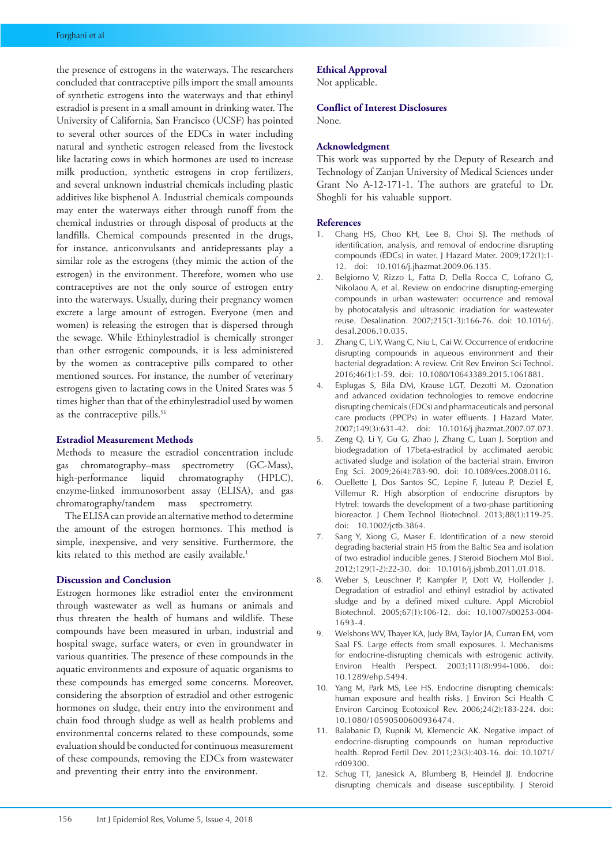the presence of estrogens in the waterways. The researchers concluded that contraceptive pills import the small amounts of synthetic estrogens into the waterways and that ethinyl estradiol is present in a small amount in drinking water. The University of California, San Francisco (UCSF) has pointed to several other sources of the EDCs in water including natural and synthetic estrogen released from the livestock like lactating cows in which hormones are used to increase milk production, synthetic estrogens in crop fertilizers, and several unknown industrial chemicals including plastic additives like bisphenol A. Industrial chemicals compounds may enter the waterways either through runoff from the chemical industries or through disposal of products at the landfills. Chemical compounds presented in the drugs, for instance, anticonvulsants and antidepressants play a similar role as the estrogens (they mimic the action of the estrogen) in the environment. Therefore, women who use contraceptives are not the only source of estrogen entry into the waterways. Usually, during their pregnancy women excrete a large amount of estrogen. Everyone (men and women) is releasing the estrogen that is dispersed through the sewage. While Ethinylestradiol is chemically stronger than other estrogenic compounds, it is less administered by the women as contraceptive pills compared to other mentioned sources. For instance, the number of veterinary estrogens given to lactating cows in the United States was 5 times higher than that of the ethinylestradiol used by women as the contraceptive pills.<sup>51</sup>

## **Estradiol Measurement Methods**

Methods to measure the estradiol concentration include gas chromatography–mass spectrometry (GC-Mass), high-performance liquid chromatography (HPLC), enzyme-linked immunosorbent assay (ELISA), and gas chromatography/tandem mass spectrometry.

The ELISA can provide an alternative method to determine the amount of the estrogen hormones. This method is simple, inexpensive, and very sensitive. Furthermore, the kits related to this method are easily available.<sup>1</sup>

## **Discussion and Conclusion**

Estrogen hormones like estradiol enter the environment through wastewater as well as humans or animals and thus threaten the health of humans and wildlife. These compounds have been measured in urban, industrial and hospital swage, surface waters, or even in groundwater in various quantities. The presence of these compounds in the aquatic environments and exposure of aquatic organisms to these compounds has emerged some concerns. Moreover, considering the absorption of estradiol and other estrogenic hormones on sludge, their entry into the environment and chain food through sludge as well as health problems and environmental concerns related to these compounds, some evaluation should be conducted for continuous measurement of these compounds, removing the EDCs from wastewater and preventing their entry into the environment.

# **Ethical Approval**

Not applicable.

# **Conflict of Interest Disclosures**

None.

#### **Acknowledgment**

This work was supported by the Deputy of Research and Technology of Zanjan University of Medical Sciences under Grant No A-12-171-1. The authors are grateful to Dr. Shoghli for his valuable support.

#### **References**

- Chang HS, Choo KH, Lee B, Choi SJ. The methods of identification, analysis, and removal of endocrine disrupting compounds (EDCs) in water. J Hazard Mater. 2009;172(1):1- 12. doi: 10.1016/j.jhazmat.2009.06.135.
- 2. Belgiorno V, Rizzo L, Fatta D, Della Rocca C, Lofrano G, Nikolaou A, et al. Review on endocrine disrupting-emerging compounds in urban wastewater: occurrence and removal by photocatalysis and ultrasonic irradiation for wastewater reuse. Desalination. 2007;215(1-3):166-76. doi: 10.1016/j. desal.2006.10.035.
- 3. Zhang C, Li Y, Wang C, Niu L, Cai W. Occurrence of endocrine disrupting compounds in aqueous environment and their bacterial degradation: A review. Crit Rev Environ Sci Technol. 2016;46(1):1-59. doi: 10.1080/10643389.2015.1061881.
- 4. Esplugas S, Bila DM, Krause LGT, Dezotti M. Ozonation and advanced oxidation technologies to remove endocrine disrupting chemicals (EDCs) and pharmaceuticals and personal care products (PPCPs) in water effluents. J Hazard Mater. 2007;149(3):631-42. doi: 10.1016/j.jhazmat.2007.07.073.
- 5. Zeng Q, Li Y, Gu G, Zhao J, Zhang C, Luan J. Sorption and biodegradation of 17beta-estradiol by acclimated aerobic activated sludge and isolation of the bacterial strain. Environ Eng Sci. 2009;26(4):783-90. doi: 10.1089/ees.2008.0116.
- 6. Ouellette J, Dos Santos SC, Lepine F, Juteau P, Deziel E, Villemur R. High absorption of endocrine disruptors by Hytrel: towards the development of a two-phase partitioning bioreactor. J Chem Technol Biotechnol. 2013;88(1):119-25. doi: 10.1002/jctb.3864.
- 7. Sang Y, Xiong G, Maser E. Identification of a new steroid degrading bacterial strain H5 from the Baltic Sea and isolation of two estradiol inducible genes. J Steroid Biochem Mol Biol. 2012;129(1-2):22-30. doi: 10.1016/j.jsbmb.2011.01.018.
- 8. Weber S, Leuschner P, Kampfer P, Dott W, Hollender J. Degradation of estradiol and ethinyl estradiol by activated sludge and by a defined mixed culture. Appl Microbiol Biotechnol. 2005;67(1):106-12. doi: 10.1007/s00253-004- 1693-4.
- 9. Welshons WV, Thayer KA, Judy BM, Taylor JA, Curran EM, vom Saal FS. Large effects from small exposures. I. Mechanisms for endocrine-disrupting chemicals with estrogenic activity. Environ Health Perspect. 2003;111(8):994-1006. doi: 10.1289/ehp.5494.
- 10. Yang M, Park MS, Lee HS. Endocrine disrupting chemicals: human exposure and health risks. J Environ Sci Health C Environ Carcinog Ecotoxicol Rev. 2006;24(2):183-224. doi: 10.1080/10590500600936474.
- 11. Balabanic D, Rupnik M, Klemencic AK. Negative impact of endocrine-disrupting compounds on human reproductive health. Reprod Fertil Dev. 2011;23(3):403-16. doi: 10.1071/ rd09300.
- 12. Schug TT, Janesick A, Blumberg B, Heindel JJ. Endocrine disrupting chemicals and disease susceptibility. J Steroid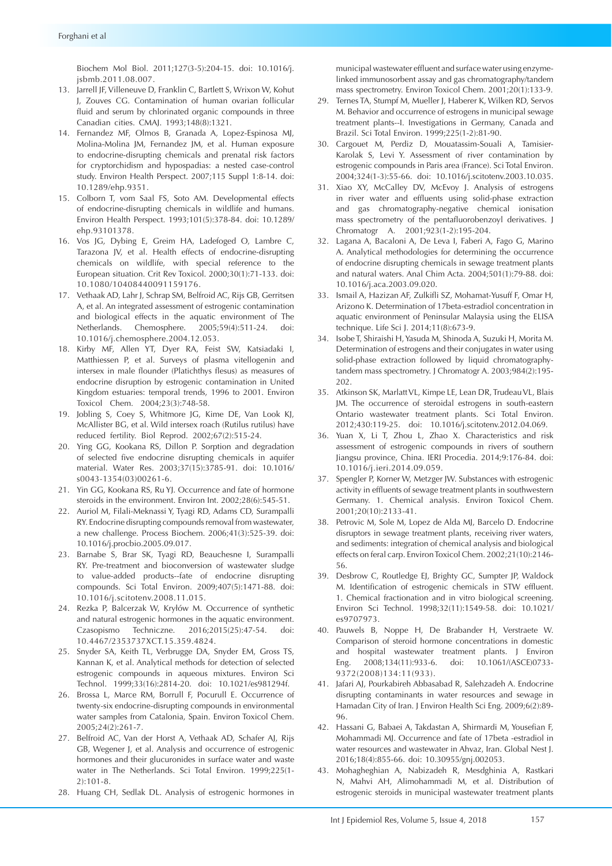Biochem Mol Biol. 2011;127(3-5):204-15. doi: 10.1016/j. jsbmb.2011.08.007.

- 13. Jarrell JF, Villeneuve D, Franklin C, Bartlett S, Wrixon W, Kohut J, Zouves CG. Contamination of human ovarian follicular fluid and serum by chlorinated organic compounds in three Canadian cities. CMAJ. 1993;148(8):1321.
- 14. Fernandez MF, Olmos B, Granada A, Lopez-Espinosa MJ, Molina-Molina JM, Fernandez JM, et al. Human exposure to endocrine-disrupting chemicals and prenatal risk factors for cryptorchidism and hypospadias: a nested case-control study. Environ Health Perspect. 2007;115 Suppl 1:8-14. doi: 10.1289/ehp.9351.
- 15. Colborn T, vom Saal FS, Soto AM. Developmental effects of endocrine-disrupting chemicals in wildlife and humans. Environ Health Perspect. 1993;101(5):378-84. doi: 10.1289/ ehp.93101378.
- 16. Vos JG, Dybing E, Greim HA, Ladefoged O, Lambre C, Tarazona JV, et al. Health effects of endocrine-disrupting chemicals on wildlife, with special reference to the European situation. Crit Rev Toxicol. 2000;30(1):71-133. doi: 10.1080/10408440091159176.
- 17. Vethaak AD, Lahr J, Schrap SM, Belfroid AC, Rijs GB, Gerritsen A, et al. An integrated assessment of estrogenic contamination and biological effects in the aquatic environment of The Netherlands. Chemosphere. 2005;59(4):511-24. doi: 10.1016/j.chemosphere.2004.12.053.
- 18. Kirby MF, Allen YT, Dyer RA, Feist SW, Katsiadaki I, Matthiessen P, et al. Surveys of plasma vitellogenin and intersex in male flounder (Platichthys flesus) as measures of endocrine disruption by estrogenic contamination in United Kingdom estuaries: temporal trends, 1996 to 2001. Environ Toxicol Chem. 2004;23(3):748-58.
- 19. Jobling S, Coey S, Whitmore JG, Kime DE, Van Look KJ, McAllister BG, et al. Wild intersex roach (Rutilus rutilus) have reduced fertility. Biol Reprod. 2002;67(2):515-24.
- 20. Ying GG, Kookana RS, Dillon P. Sorption and degradation of selected five endocrine disrupting chemicals in aquifer material. Water Res. 2003;37(15):3785-91. doi: 10.1016/ s0043-1354(03)00261-6.
- 21. Yin GG, Kookana RS, Ru YJ. Occurrence and fate of hormone steroids in the environment. Environ Int. 2002;28(6):545-51.
- 22. Auriol M, Filali-Meknassi Y, Tyagi RD, Adams CD, Surampalli RY. Endocrine disrupting compounds removal from wastewater, a new challenge. Process Biochem. 2006;41(3):525-39. doi: 10.1016/j.procbio.2005.09.017.
- 23. Barnabe S, Brar SK, Tyagi RD, Beauchesne I, Surampalli RY. Pre-treatment and bioconversion of wastewater sludge to value-added products--fate of endocrine disrupting compounds. Sci Total Environ. 2009;407(5):1471-88. doi: 10.1016/j.scitotenv.2008.11.015.
- 24. Rezka P, Balcerzak W, Kryłów M. Occurrence of synthetic and natural estrogenic hormones in the aquatic environment. Czasopismo Techniczne. 2016;2015(25):47-54. doi: 10.4467/2353737XCT.15.359.4824.
- 25. Snyder SA, Keith TL, Verbrugge DA, Snyder EM, Gross TS, Kannan K, et al. Analytical methods for detection of selected estrogenic compounds in aqueous mixtures. Environ Sci Technol. 1999;33(16):2814-20. doi: 10.1021/es981294f.
- 26. Brossa L, Marce RM, Borrull F, Pocurull E. Occurrence of twenty-six endocrine-disrupting compounds in environmental water samples from Catalonia, Spain. Environ Toxicol Chem. 2005;24(2):261-7.
- 27. Belfroid AC, Van der Horst A, Vethaak AD, Schafer AJ, Rijs GB, Wegener J, et al. Analysis and occurrence of estrogenic hormones and their glucuronides in surface water and waste water in The Netherlands. Sci Total Environ. 1999;225(1- 2):101-8.
- 28. Huang CH, Sedlak DL. Analysis of estrogenic hormones in

municipal wastewater effluent and surface water using enzymelinked immunosorbent assay and gas chromatography/tandem mass spectrometry. Environ Toxicol Chem. 2001;20(1):133-9.

- 29. Ternes TA, Stumpf M, Mueller J, Haberer K, Wilken RD, Servos M. Behavior and occurrence of estrogens in municipal sewage treatment plants--I. Investigations in Germany, Canada and Brazil. Sci Total Environ. 1999;225(1-2):81-90.
- 30. Cargouet M, Perdiz D, Mouatassim-Souali A, Tamisier-Karolak S, Levi Y. Assessment of river contamination by estrogenic compounds in Paris area (France). Sci Total Environ. 2004;324(1-3):55-66. doi: 10.1016/j.scitotenv.2003.10.035.
- 31. Xiao XY, McCalley DV, McEvoy J. Analysis of estrogens in river water and effluents using solid-phase extraction and gas chromatography-negative chemical ionisation mass spectrometry of the pentafluorobenzoyl derivatives. J Chromatogr A. 2001;923(1-2):195-204.
- 32. Lagana A, Bacaloni A, De Leva I, Faberi A, Fago G, Marino A. Analytical methodologies for determining the occurrence of endocrine disrupting chemicals in sewage treatment plants and natural waters. Anal Chim Acta. 2004;501(1):79-88. doi: 10.1016/j.aca.2003.09.020.
- 33. Ismail A, Hazizan AF, Zulkifli SZ, Mohamat-Yusuff F, Omar H, Arizono K. Determination of 17beta-estradiol concentration in aquatic environment of Peninsular Malaysia using the ELISA technique. Life Sci J. 2014;11(8):673-9.
- 34. Isobe T, Shiraishi H, Yasuda M, Shinoda A, Suzuki H, Morita M. Determination of estrogens and their conjugates in water using solid-phase extraction followed by liquid chromatographytandem mass spectrometry. J Chromatogr A. 2003;984(2):195- 202.
- 35. Atkinson SK, Marlatt VL, Kimpe LE, Lean DR, Trudeau VL, Blais JM. The occurrence of steroidal estrogens in south-eastern Ontario wastewater treatment plants. Sci Total Environ. 2012;430:119-25. doi: 10.1016/j.scitotenv.2012.04.069.
- 36. Yuan X, Li T, Zhou L, Zhao X. Characteristics and risk assessment of estrogenic compounds in rivers of southern Jiangsu province, China. IERI Procedia. 2014;9:176-84. doi: 10.1016/j.ieri.2014.09.059.
- 37. Spengler P, Korner W, Metzger JW. Substances with estrogenic activity in effluents of sewage treatment plants in southwestern Germany. 1. Chemical analysis. Environ Toxicol Chem. 2001;20(10):2133-41.
- 38. Petrovic M, Sole M, Lopez de Alda MJ, Barcelo D. Endocrine disruptors in sewage treatment plants, receiving river waters, and sediments: integration of chemical analysis and biological effects on feral carp. Environ Toxicol Chem. 2002;21(10):2146- 56.
- 39. Desbrow C, Routledge EJ, Brighty GC, Sumpter JP, Waldock M. Identification of estrogenic chemicals in STW effluent. 1. Chemical fractionation and in vitro biological screening. Environ Sci Technol. 1998;32(11):1549-58. doi: 10.1021/ es9707973.
- 40. Pauwels B, Noppe H, De Brabander H, Verstraete W. Comparison of steroid hormone concentrations in domestic and hospital wastewater treatment plants. J Environ Eng. 2008;134(11):933-6. doi: 10.1061/(ASCE)0733- 9372(2008)134:11(933).
- 41. Jafari AJ, Pourkabireh Abbasabad R, Salehzadeh A. Endocrine disrupting contaminants in water resources and sewage in Hamadan City of Iran. J Environ Health Sci Eng. 2009;6(2):89- 96.
- 42. Hassani G, Babaei A, Takdastan A, Shirmardi M, Yousefian F, Mohammadi MJ. Occurrence and fate of 17beta -estradiol in water resources and wastewater in Ahvaz, Iran. Global Nest J. 2016;18(4):855-66. doi: 10.30955/gnj.002053.
- 43. Mohagheghian A, Nabizadeh R, Mesdghinia A, Rastkari N, Mahvi AH, Alimohammadi M, et al. Distribution of estrogenic steroids in municipal wastewater treatment plants